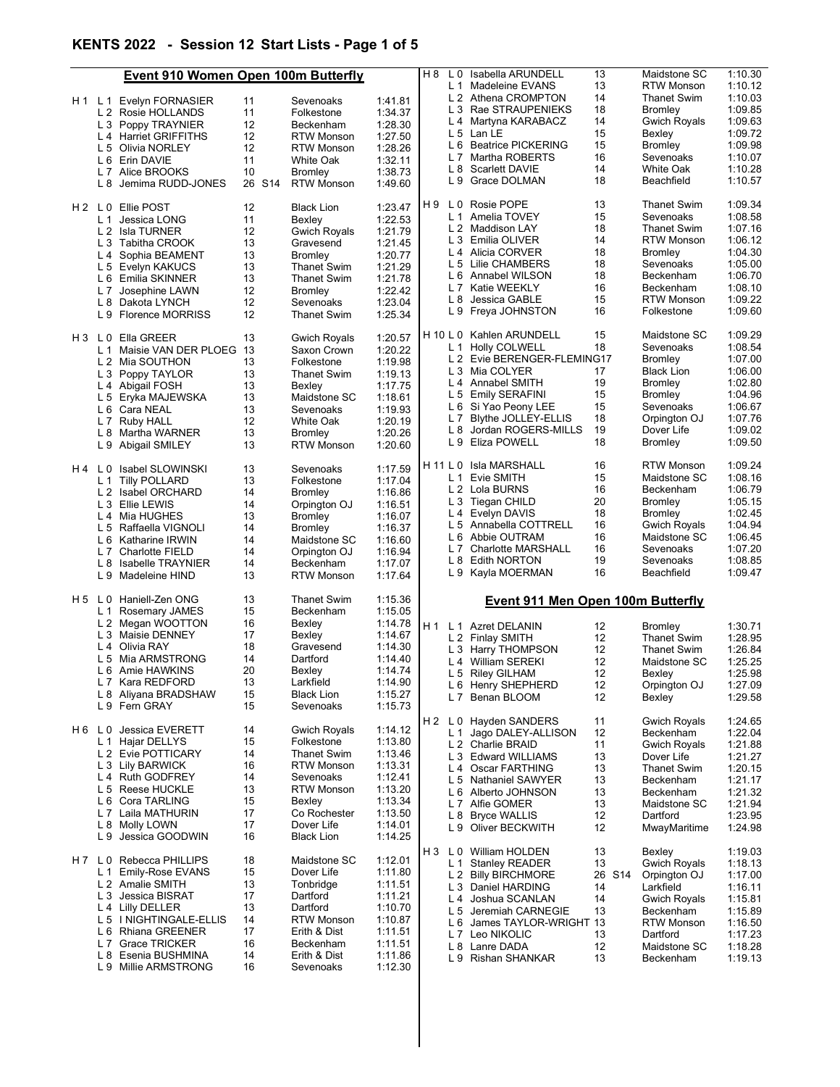## KENTS 2022 - Session 12 Start Lists - Page 1 of 5

|     | Event 910 Women Open 100m Butterfly         |          |                                 |                    | H 8 | L 0            | Isabella ARUNDELL                                | 13       | Maidstone SC                     | 1:10.30            |
|-----|---------------------------------------------|----------|---------------------------------|--------------------|-----|----------------|--------------------------------------------------|----------|----------------------------------|--------------------|
|     |                                             |          |                                 |                    |     |                | L 1 Madeleine EVANS                              | 13       | <b>RTW Monson</b>                | 1:10.12            |
|     | H 1 L 1 Evelyn FORNASIER                    | 11       | Sevenoaks                       | 1:41.81            |     |                | L 2 Athena CROMPTON                              | 14       | <b>Thanet Swim</b>               | 1:10.03            |
|     | L 2 Rosie HOLLANDS                          | 11       | Folkestone                      | 1:34.37            |     | L <sub>3</sub> | Rae STRAUPENIEKS                                 | 18       | Bromley                          | 1:09.85            |
|     | L 3 Poppy TRAYNIER                          | 12       | Beckenham                       | 1:28.30            |     |                | L 4 Martyna KARABACZ                             | 14       | <b>Gwich Royals</b>              | 1:09.63            |
|     | L 4 Harriet GRIFFITHS                       | 12       | <b>RTW Monson</b>               | 1:27.50            |     |                | L 5 Lan LE                                       | 15       | Bexley                           | 1:09.72            |
|     | L 5 Olivia NORLEY                           | 12       | <b>RTW Monson</b>               | 1:28.26            |     |                | L 6 Beatrice PICKERING                           | 15       | Bromley                          | 1:09.98            |
|     | L 6 Erin DAVIE                              | 11       | <b>White Oak</b>                | 1:32.11            |     | L <sub>7</sub> | Martha ROBERTS                                   | 16       | Sevenoaks                        | 1:10.07            |
|     | L 7 Alice BROOKS                            | 10       | <b>Bromley</b>                  | 1:38.73            |     |                | L 8 Scarlett DAVIE                               | 14       | White Oak                        | 1:10.28            |
|     | L 8 Jemima RUDD-JONES                       | 26 S14   | <b>RTW Monson</b>               | 1:49.60            |     | L 9            | Grace DOLMAN                                     | 18       | Beachfield                       | 1:10.57            |
|     | H <sub>2</sub> L <sub>0</sub> Ellie POST    | 12       |                                 |                    | H 9 | L 0            | <b>Rosie POPE</b>                                | 13       | <b>Thanet Swim</b>               | 1:09.34            |
|     |                                             |          | <b>Black Lion</b>               | 1:23.47            |     |                | L 1 Amelia TOVEY                                 | 15       | Sevenoaks                        | 1:08.58            |
|     | L 1 Jessica LONG                            | 11       | Bexley                          | 1:22.53            |     |                | L 2 Maddison LAY                                 | 18       | <b>Thanet Swim</b>               | 1:07.16            |
|     | L 2 Isla TURNER                             | 12       | <b>Gwich Royals</b>             | 1:21.79            |     |                | L 3 Emilia OLIVER                                | 14       | <b>RTW Monson</b>                | 1:06.12            |
|     | L 3 Tabitha CROOK                           | 13       | Gravesend                       | 1:21.45            |     |                | L 4 Alicia CORVER                                | 18       |                                  | 1:04.30            |
|     | L 4 Sophia BEAMENT                          | 13       | <b>Bromley</b>                  | 1:20.77            |     |                | L 5 Lilie CHAMBERS                               | 18       | <b>Bromley</b>                   |                    |
|     | L 5 Evelyn KAKUCS                           | 13       | <b>Thanet Swim</b>              | 1:21.29            |     |                |                                                  | 18       | Sevenoaks                        | 1:05.00            |
|     | L 6 Emilia SKINNER                          | 13       | <b>Thanet Swim</b>              | 1:21.78            |     |                | L 6 Annabel WILSON                               |          | Beckenham                        | 1:06.70            |
|     | L 7 Josephine LAWN                          | 12       | <b>Bromley</b>                  | 1:22.42            |     |                | L 7 Katie WEEKLY                                 | 16       | Beckenham                        | 1:08.10            |
|     | L 8 Dakota LYNCH                            | 12       | Sevenoaks                       | 1:23.04            |     | L 8            | Jessica GABLE                                    | 15       | <b>RTW Monson</b>                | 1:09.22            |
|     | L 9 Florence MORRISS                        | 12       | <b>Thanet Swim</b>              | 1:25.34            |     | L 9            | Freya JOHNSTON                                   | 16       | Folkestone                       | 1:09.60            |
|     | H 3 L 0 Ella GREER                          | 13       | <b>Gwich Royals</b>             | 1:20.57            |     |                | H 10 L 0 Kahlen ARUNDELL                         | 15       | Maidstone SC                     | 1:09.29            |
|     | L 1 Maisie VAN DER PLOEG                    | -13      | Saxon Crown                     | 1:20.22            |     |                | L 1 Holly COLWELL                                | 18       | Sevenoaks                        | 1:08.54            |
|     | L 2 Mia SOUTHON                             | 13       | Folkestone                      | 1:19.98            |     |                | L 2 Evie BERENGER-FLEMING17                      |          | Bromley                          | 1:07.00            |
|     | L 3 Poppy TAYLOR                            | 13       | <b>Thanet Swim</b>              | 1:19.13            |     |                | L 3 Mia COLYER                                   | 17       | <b>Black Lion</b>                | 1:06.00            |
|     | L 4 Abigail FOSH                            | 13       | Bexley                          | 1:17.75            |     |                | L 4 Annabel SMITH                                | 19       | Bromley                          | 1:02.80            |
|     | L 5 Eryka MAJEWSKA                          | 13       | Maidstone SC                    | 1:18.61            |     | L <sub>5</sub> | <b>Emily SERAFINI</b>                            | 15       | <b>Bromley</b>                   | 1:04.96            |
|     | L 6 Cara NEAL                               | 13       | Sevenoaks                       | 1:19.93            |     |                | L 6 Si Yao Peony LEE                             | 15       | Sevenoaks                        | 1:06.67            |
|     | L 7 Ruby HALL                               | 12       | White Oak                       | 1:20.19            |     |                | L 7 Blythe JOLLEY-ELLIS                          | 18       | Orpington OJ                     | 1:07.76            |
|     | L 8 Martha WARNER                           | 13       | <b>Bromley</b>                  | 1:20.26            |     | L 8            | Jordan ROGERS-MILLS                              | 19       | Dover Life                       | 1:09.02            |
|     | L 9 Abigail SMILEY                          | 13       | <b>RTW Monson</b>               | 1:20.60            |     |                | L 9 Eliza POWELL                                 | 18       | <b>Bromley</b>                   | 1:09.50            |
| H 4 | Isabel SLOWINSKI<br>L 0                     | 13       | Sevenoaks                       | 1:17.59            |     |                | H 11 L 0 Isla MARSHALL                           | 16       | <b>RTW Monson</b>                | 1:09.24            |
|     | L 1 Tilly POLLARD                           | 13       | Folkestone                      | 1:17.04            |     | L 1            | Evie SMITH                                       | 15       | Maidstone SC                     | 1:08.16            |
|     | L 2 Isabel ORCHARD                          | 14       | <b>Bromley</b>                  | 1:16.86            |     |                | L 2 Lola BURNS                                   | 16       | Beckenham                        | 1:06.79            |
|     | L 3 Ellie LEWIS                             | 14       | Orpington OJ                    | 1:16.51            |     |                | L 3 Tiegan CHILD                                 | 20       | Bromley                          | 1:05.15            |
|     | L 4 Mia HUGHES                              | 13       | <b>Bromley</b>                  | 1:16.07            |     |                | L 4 Evelyn DAVIS                                 | 18       | Bromley                          | 1:02.45            |
|     | L 5 Raffaella VIGNOLI                       | 14       | <b>Bromley</b>                  | 1:16.37            |     |                | L 5 Annabella COTTRELL                           | 16       | Gwich Royals                     | 1:04.94            |
|     |                                             |          |                                 |                    |     | L 6            | Abbie OUTRAM                                     | 16       | Maidstone SC                     | 1:06.45            |
|     | L 6 Katharine IRWIN                         | 14       | Maidstone SC                    | 1:16.60            |     |                | L 7 Charlotte MARSHALL                           | 16       | Sevenoaks                        | 1:07.20            |
|     | <b>Charlotte FIELD</b><br>L 7               | 14       | Orpington OJ                    | 1:16.94            |     | L 8            | <b>Edith NORTON</b>                              | 19       | Sevenoaks                        | 1:08.85            |
|     | L 8 Isabelle TRAYNIER<br>L 9 Madeleine HIND | 14<br>13 | Beckenham<br><b>RTW Monson</b>  | 1:17.07<br>1:17.64 |     |                | L 9 Kayla MOERMAN                                | 16       | Beachfield                       | 1:09.47            |
|     |                                             |          |                                 |                    |     |                |                                                  |          |                                  |                    |
| H 5 | Haniell-Zen ONG<br>L 0                      | 13       | <b>Thanet Swim</b>              | 1:15.36            |     |                | Event 911 Men Open 100m Butterfly                |          |                                  |                    |
|     | L 1 Rosemary JAMES                          | 15       | Beckenham                       | 1:15.05            |     |                |                                                  |          |                                  |                    |
|     | L 2 Megan WOOTTON                           | 16       | Bexley                          | 1:14.78            | H 1 |                | L 1 Azret DELANIN                                | 12       | Bromley                          | 1:30.71            |
|     | L 3 Maisie DENNEY                           | 17       | Bexley                          | 1:14.67            |     |                | L 2 Finlay SMITH                                 | 12       | <b>Thanet Swim</b>               | 1:28.95            |
|     | L 4 Olivia RAY                              | 18       | Gravesend                       | 1:14.30            |     |                | L 3 Harry THOMPSON                               | 12       | <b>Thanet Swim</b>               | 1:26.84            |
|     | L 5 Mia ARMSTRONG                           | 14       | Dartford                        | 1:14.40            |     |                | L 4 William SEREKI                               | 12       | Maidstone SC                     | 1:25.25            |
|     | L 6 Amie HAWKINS                            | 20       | Bexley                          | 1:14.74            |     |                | L 5 Riley GILHAM                                 | 12       | Bexley                           | 1:25.98            |
|     | L 7 Kara REDFORD                            | 13       | Larkfield                       | 1:14.90            |     |                | L 6 Henry SHEPHERD                               | 12       | Orpington OJ                     | 1:27.09            |
|     | L 8 Aliyana BRADSHAW                        | 15       | <b>Black Lion</b>               | 1:15.27            |     |                | L 7 Benan BLOOM                                  | 12       | Bexley                           | 1:29.58            |
|     | L 9 Fern GRAY                               | 15       | Sevenoaks                       | 1:15.73            |     |                |                                                  |          |                                  |                    |
|     | H 6 L 0 Jessica EVERETT                     | 14       | <b>Gwich Royals</b>             | 1:14.12            |     |                | H 2 L 0 Hayden SANDERS<br>L 1 Jago DALEY-ALLISON | 11<br>12 | <b>Gwich Royals</b><br>Beckenham | 1:24.65<br>1:22.04 |
|     | L 1 Hajar DELLYS                            | 15       | Folkestone                      | 1:13.80            |     |                | L 2 Charlie BRAID                                | 11       | <b>Gwich Royals</b>              | 1:21.88            |
|     | L 2 Evie POTTICARY                          | 14       | <b>Thanet Swim</b>              | 1:13.46            |     |                | L 3 Edward WILLIAMS                              |          |                                  |                    |
|     | L 3 Lily BARWICK                            | 16       | <b>RTW Monson</b>               | 1:13.31            |     |                |                                                  | 13       | Dover Life                       | 1:21.27            |
|     | L 4 Ruth GODFREY                            | 14       | Sevenoaks                       | 1:12.41            |     |                | L 4 Oscar FARTHING                               | 13       | <b>Thanet Swim</b>               | 1:20.15            |
|     | L 5 Reese HUCKLE                            | 13       | <b>RTW Monson</b>               | 1:13.20            |     |                | L 5 Nathaniel SAWYER                             | 13       | Beckenham                        | 1:21.17            |
|     |                                             |          |                                 |                    |     |                | L 6 Alberto JOHNSON                              | 13       | Beckenham                        | 1:21.32            |
|     | L 6 Cora TARLING                            | 15       | Bexley                          | 1:13.34            |     |                | L 7 Alfie GOMER                                  | 13       | Maidstone SC                     | 1:21.94            |
|     | L 7 Laila MATHURIN                          | 17       | Co Rochester                    | 1:13.50            |     | L 8            | <b>Bryce WALLIS</b>                              | 12       | Dartford                         | 1:23.95            |
|     | L 8 Molly LOWN<br>L 9 Jessica GOODWIN       | 17<br>16 | Dover Life<br><b>Black Lion</b> | 1:14.01<br>1:14.25 |     |                | L 9 Oliver BECKWITH                              | 12       | MwayMaritime                     | 1:24.98            |
|     |                                             |          |                                 |                    | H 3 |                | L 0 William HOLDEN                               | 13       | Bexley                           | 1:19.03            |
|     | H 7 L 0 Rebecca PHILLIPS                    | 18       | Maidstone SC                    | 1:12.01            |     |                | L 1 Stanley READER                               | 13       | <b>Gwich Royals</b>              | 1:18.13            |
|     | L 1 Emily-Rose EVANS                        | 15       | Dover Life                      | 1:11.80            |     |                | L 2 Billy BIRCHMORE                              | 26 S14   | Orpington OJ                     | 1:17.00            |
|     | L 2 Amalie SMITH                            | 13       | Tonbridge                       | 1:11.51            |     |                | L 3 Daniel HARDING                               | 14       | Larkfield                        | 1:16.11            |
|     | L 3 Jessica BISRAT                          | 17       | Dartford                        | 1:11.21            |     |                | L 4 Joshua SCANLAN                               | 14       | <b>Gwich Royals</b>              | 1:15.81            |
|     | L 4 Lilly DELLER                            | 13       | Dartford                        | 1:10.70            |     |                | L 5 Jeremiah CARNEGIE                            | 13       | Beckenham                        | 1:15.89            |
|     | L 5 I NIGHTINGALE-ELLIS                     | 14       | <b>RTW Monson</b>               | 1:10.87            |     |                | L 6 James TAYLOR-WRIGHT 13                       |          | <b>RTW Monson</b>                | 1:16.50            |
|     | L 6 Rhiana GREENER                          | 17       | Erith & Dist                    | 1:11.51            |     |                | L 7 Leo NIKOLIC                                  | 13       | Dartford                         | 1:17.23            |
|     | L 7 Grace TRICKER                           | 16       | Beckenham                       | 1:11.51            |     | L 8            | Lanre DADA                                       | 12       | Maidstone SC                     | 1:18.28            |
|     | L 8 Esenia BUSHMINA                         | 14       | Erith & Dist                    | 1:11.86            |     |                | L 9 Rishan SHANKAR                               | 13       | Beckenham                        | 1:19.13            |
|     | L 9 Millie ARMSTRONG                        | 16       | Sevenoaks                       | 1:12.30            |     |                |                                                  |          |                                  |                    |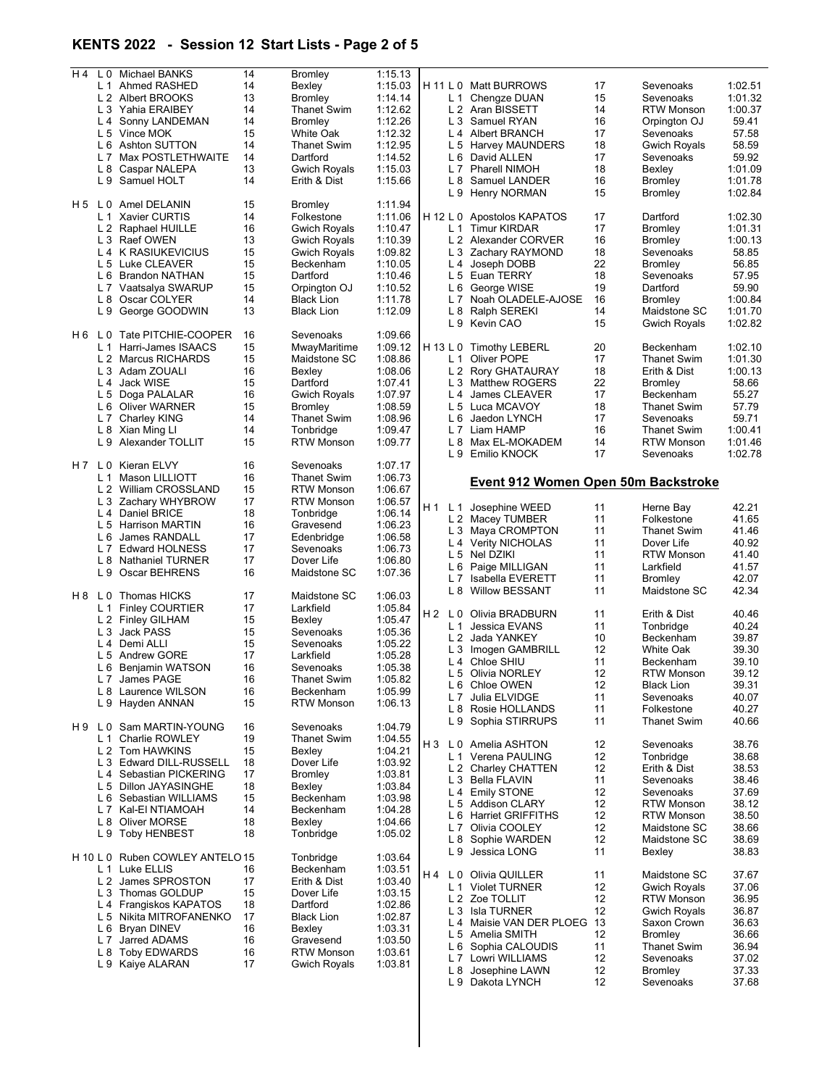## KENTS 2022 - Session 12 Start Lists - Page 2 of 5

| H 4            | L 0 Michael BANKS                       | 14       | Bromley                      | 1:15.13            |           |                |                                                |    |                     |         |
|----------------|-----------------------------------------|----------|------------------------------|--------------------|-----------|----------------|------------------------------------------------|----|---------------------|---------|
|                | L 1 Ahmed RASHED                        | 14       | Bexley                       | 1:15.03            |           |                | H 11 L 0 Matt BURROWS                          | 17 | Sevenoaks           | 1:02.51 |
|                | L 2 Albert BROOKS                       | 13       | <b>Bromley</b>               | 1:14.14            |           |                | L 1 Chengze DUAN                               | 15 | Sevenoaks           | 1:01.32 |
|                | L 3 Yahia ERAIBEY                       | 14       | <b>Thanet Swim</b>           | 1:12.62            |           |                | L 2 Aran BISSETT                               | 14 | <b>RTW Monson</b>   | 1:00.37 |
|                | L 4 Sonny LANDEMAN                      | 14       | <b>Bromley</b>               | 1:12.26            |           |                | L 3 Samuel RYAN                                | 16 | Orpington OJ        | 59.41   |
|                | L 5 Vince MOK                           | 15       | White Oak                    | 1:12.32            |           |                | L 4 Albert BRANCH                              | 17 | Sevenoaks           | 57.58   |
|                | L 6 Ashton SUTTON                       | 14       | Thanet Swim                  | 1:12.95            |           |                | L 5 Harvey MAUNDERS                            | 18 | <b>Gwich Royals</b> | 58.59   |
|                | L 7 Max POSTLETHWAITE                   | 14       | Dartford                     | 1:14.52            |           |                | L 6 David ALLEN                                | 17 | Sevenoaks           | 59.92   |
|                | L 8 Caspar NALEPA                       | 13       | <b>Gwich Royals</b>          | 1:15.03            |           |                | L 7 Pharell NIMOH                              | 18 | Bexlev              | 1:01.09 |
|                | L 9 Samuel HOLT                         | 14       | Erith & Dist                 | 1:15.66            |           | L <sub>8</sub> | Samuel LANDER                                  | 16 | <b>Bromley</b>      | 1:01.78 |
|                | H 5 L 0 Amel DELANIN                    |          |                              | 1:11.94            |           |                | L 9 Henry NORMAN                               | 15 | Bromley             | 1:02.84 |
|                |                                         | 15<br>14 | <b>Bromley</b><br>Folkestone |                    |           |                |                                                | 17 | Dartford            | 1:02.30 |
|                | L 1 Xavier CURTIS<br>L 2 Raphael HUILLE | 16       | <b>Gwich Royals</b>          | 1:11.06<br>1:10.47 |           |                | H 12 L 0 Apostolos KAPATOS<br>L 1 Timur KIRDAR | 17 | Bromley             | 1:01.31 |
|                | L 3 Raef OWEN                           | 13       | <b>Gwich Royals</b>          | 1:10.39            |           |                | L 2 Alexander CORVER                           | 16 | Bromley             | 1:00.13 |
|                | L 4 K RASIUKEVICIUS                     | 15       | <b>Gwich Royals</b>          | 1:09.82            |           |                | L 3 Zachary RAYMOND                            | 18 | Sevenoaks           | 58.85   |
|                | L 5 Luke CLEAVER                        | 15       | Beckenham                    | 1:10.05            |           | L 4            | Joseph DOBB                                    | 22 | <b>Bromley</b>      | 56.85   |
|                | L 6 Brandon NATHAN                      | 15       | Dartford                     | 1:10.46            |           |                | L 5 Euan TERRY                                 | 18 | Sevenoaks           | 57.95   |
|                | L 7 Vaatsalya SWARUP                    | 15       | Orpington OJ                 | 1:10.52            |           | L 6            | George WISE                                    | 19 | Dartford            | 59.90   |
|                | L 8 Oscar COLYER                        | 14       | <b>Black Lion</b>            | 1:11.78            |           |                | L 7 Noah OLADELE-AJOSE                         | 16 | <b>Bromley</b>      | 1:00.84 |
|                | L 9 George GOODWIN                      | 13       | <b>Black Lion</b>            | 1:12.09            |           |                | L 8 Ralph SEREKI                               | 14 | Maidstone SC        | 1:01.70 |
|                |                                         |          |                              |                    |           |                | L 9 Kevin CAO                                  | 15 | Gwich Royals        | 1:02.82 |
|                | H6 L0 Tate PITCHIE-COOPER               | 16       | Sevenoaks                    | 1:09.66            |           |                |                                                |    |                     |         |
| L <sub>1</sub> | Harri-James ISAACS                      | 15       | MwayMaritime                 | 1:09.12            | H 13 L 0  |                | <b>Timothy LEBERL</b>                          | 20 | Beckenham           | 1:02.10 |
|                | L 2 Marcus RICHARDS                     | 15       | Maidstone SC                 | 1:08.86            |           | L 1            | Oliver POPE                                    | 17 | <b>Thanet Swim</b>  | 1:01.30 |
|                | L 3 Adam ZOUALI                         | 16       | Bexley                       | 1:08.06            |           |                | L 2 Rory GHATAURAY                             | 18 | Erith & Dist        | 1:00.13 |
|                | L 4 Jack WISE                           | 15       | Dartford                     | 1:07.41            |           |                | L 3 Matthew ROGERS                             | 22 | <b>Bromley</b>      | 58.66   |
|                | L 5 Doga PALALAR                        | 16       | Gwich Royals                 | 1:07.97            |           |                | L 4 James CLEAVER                              | 17 | Beckenham           | 55.27   |
|                | L 6 Oliver WARNER                       | 15       | Bromley                      | 1:08.59            |           |                | L 5 Luca MCAVOY                                | 18 | <b>Thanet Swim</b>  | 57.79   |
|                | L 7 Charley KING                        | 14       | <b>Thanet Swim</b>           | 1:08.96            |           |                | L 6 Jaedon LYNCH                               | 17 | Sevenoaks           | 59.71   |
|                | L 8 Xian Ming LI                        | 14       | Tonbridge                    | 1:09.47            |           |                | L 7 Liam HAMP                                  | 16 | <b>Thanet Swim</b>  | 1:00.41 |
|                | L 9 Alexander TOLLIT                    | 15       | <b>RTW Monson</b>            | 1:09.77            |           |                | L 8 Max EL-MOKADEM                             | 14 | <b>RTW Monson</b>   | 1:01.46 |
|                |                                         |          |                              |                    |           |                | L 9 Emilio KNOCK                               | 17 | Sevenoaks           | 1:02.78 |
|                | H 7 L 0 Kieran ELVY                     | 16       | Sevenoaks                    | 1:07.17            |           |                |                                                |    |                     |         |
| L <sub>1</sub> | Mason LILLIOTT                          | 16       | Thanet Swim                  | 1:06.73            |           |                | Event 912 Women Open 50m Backstroke            |    |                     |         |
|                | L 2 William CROSSLAND                   | 15       | <b>RTW Monson</b>            | 1:06.67            |           |                |                                                |    |                     |         |
|                | L 3 Zachary WHYBROW                     | 17       | <b>RTW Monson</b>            | 1:06.57            |           |                | H 1 L 1 Josephine WEED                         | 11 | Herne Bay           | 42.21   |
|                | L 4 Daniel BRICE                        | 18       | Tonbridge                    | 1:06.14            |           |                | L 2 Macey TUMBER                               | 11 | Folkestone          | 41.65   |
|                | L 5 Harrison MARTIN                     | 16       | Gravesend                    | 1:06.23            |           |                | L 3 Maya CROMPTON                              | 11 | Thanet Swim         | 41.46   |
|                | L 6 James RANDALL                       | 17       | Edenbridge                   | 1:06.58            |           |                | L 4 Verity NICHOLAS                            | 11 | Dover Life          | 40.92   |
|                | L 7 Edward HOLNESS                      | 17       | Sevenoaks                    | 1:06.73            |           |                | L 5 Nel DZIKI                                  | 11 | <b>RTW Monson</b>   | 41.40   |
|                | L 8 Nathaniel TURNER                    | 17       | Dover Life                   | 1:06.80            |           |                | L 6 Paige MILLIGAN                             | 11 | Larkfield           | 41.57   |
|                | L 9 Oscar BEHRENS                       | 16       | Maidstone SC                 | 1:07.36            |           | L 7            | Isabella EVERETT                               | 11 | <b>Bromley</b>      | 42.07   |
|                |                                         |          |                              |                    |           |                | L 8 Willow BESSANT                             | 11 | Maidstone SC        | 42.34   |
|                | H 8 L 0 Thomas HICKS                    | 17       | Maidstone SC                 | 1:06.03            |           |                |                                                |    |                     |         |
|                | L 1 Finley COURTIER                     | 17       | Larkfield                    | 1:05.84            | $H2$ $L0$ |                | Olivia BRADBURN                                | 11 | Erith & Dist        | 40.46   |
|                | L 2 Finley GILHAM                       | 15       | Bexley                       | 1:05.47            |           | L 1            | Jessica EVANS                                  | 11 | Tonbridge           | 40.24   |
|                | L 3 Jack PASS<br>L 4 Demi ALLI          | 15<br>15 | Sevenoaks                    | 1:05.36            |           |                | L 2 Jada YANKEY                                | 10 | Beckenham           | 39.87   |
|                | L 5 Andrew GORE                         | 17       | Sevenoaks<br>Larkfield       | 1:05.22            |           |                | L 3 Imogen GAMBRILL                            | 12 | White Oak           | 39.30   |
|                |                                         | 16       | Sevenoaks                    | 1:05.28<br>1:05.38 |           | L4             | Chloe SHIU                                     | 11 | Beckenham           | 39.10   |
|                | L 6 Benjamin WATSON<br>L 7 James PAGE   | 16       | Thanet Swim                  | 1:05.82            |           |                | L 5 Olivia NORLEY                              | 12 | <b>RTW Monson</b>   | 39.12   |
|                | L 8 Laurence WILSON                     | 16       | Beckenham                    | 1:05.99            |           |                | L 6 Chloe OWEN                                 | 12 | <b>Black Lion</b>   | 39.31   |
|                | L 9 Hayden ANNAN                        | 15       | <b>RTW Monson</b>            | 1:06.13            |           |                | L 7 Julia ELVIDGE                              | 11 | Sevenoaks           | 40.07   |
|                |                                         |          |                              |                    |           |                | L 8 Rosie HOLLANDS                             | 11 | Folkestone          | 40.27   |
|                | H 9 L 0 Sam MARTIN-YOUNG                | 16       | Sevenoaks                    | 1:04.79            |           |                | L 9 Sophia STIRRUPS                            | 11 | <b>Thanet Swim</b>  | 40.66   |
|                | L 1 Charlie ROWLEY                      | 19       | <b>Thanet Swim</b>           | 1:04.55            |           |                |                                                |    |                     |         |
|                | L 2 Tom HAWKINS                         | 15       | Bexley                       | 1:04.21            |           |                | H 3 L 0 Amelia ASHTON                          | 12 | Sevenoaks           | 38.76   |
|                | L 3 Edward DILL-RUSSELL                 | 18       | Dover Life                   | 1:03.92            |           |                | L 1 Verena PAULING                             | 12 | Tonbridge           | 38.68   |
|                | L 4 Sebastian PICKERING                 | 17       | Bromley                      | 1:03.81            |           |                | L 2 Charley CHATTEN                            | 12 | Erith & Dist        | 38.53   |
|                | L 5 Dillon JAYASINGHE                   | 18       | Bexley                       | 1:03.84            |           |                | L 3 Bella FLAVIN                               | 11 | Sevenoaks           | 38.46   |
|                | L 6 Sebastian WILLIAMS                  | 15       | Beckenham                    | 1:03.98            |           |                | L 4 Emily STONE                                | 12 | Sevenoaks           | 37.69   |
|                | L 7 Kal-EI NTIAMOAH                     | 14       | Beckenham                    | 1:04.28            |           |                | L 5 Addison CLARY                              | 12 | <b>RTW Monson</b>   | 38.12   |
|                | L 8 Oliver MORSE                        | 18       | Bexley                       | 1:04.66            |           |                | L 6 Harriet GRIFFITHS                          | 12 | <b>RTW Monson</b>   | 38.50   |
|                | L 9 Toby HENBEST                        | 18       | Tonbridge                    | 1:05.02            |           |                | L 7 Olivia COOLEY                              | 12 | Maidstone SC        | 38.66   |
|                |                                         |          |                              |                    |           | L 8            | Sophie WARDEN                                  | 12 | Maidstone SC        | 38.69   |
|                | H 10 L 0 Ruben COWLEY ANTELO 15         |          | Tonbridge                    | 1:03.64            |           | L 9            | Jessica LONG                                   | 11 | Bexley              | 38.83   |
|                | L 1 Luke ELLIS                          | 16       | Beckenham                    | 1:03.51            |           |                | H 4 L 0 Olivia QUILLER                         | 11 | Maidstone SC        | 37.67   |
|                | L 2 James SPROSTON                      | 17       | Erith & Dist                 | 1:03.40            |           |                | L 1 Violet TURNER                              | 12 | <b>Gwich Royals</b> | 37.06   |
|                | L 3 Thomas GOLDUP                       | 15       | Dover Life                   | 1:03.15            |           |                | L 2 Zoe TOLLIT                                 | 12 | <b>RTW Monson</b>   | 36.95   |
|                | L 4 Frangiskos KAPATOS                  | 18       | Dartford                     | 1:02.86            |           |                | L 3 Isla TURNER                                | 12 | <b>Gwich Royals</b> | 36.87   |
|                | L 5 Nikita MITROFANENKO                 | 17       | Black Lion                   | 1:02.87            |           |                | L 4 Maisie VAN DER PLOEG 13                    |    | Saxon Crown         | 36.63   |
|                | L 6 Bryan DINEV                         | 16       | Bexley                       | 1:03.31            |           |                | L 5 Amelia SMITH                               | 12 | Bromley             | 36.66   |
| L 7            | Jarred ADAMS                            | 16       | Gravesend                    | 1:03.50            |           | L 6            | Sophia CALOUDIS                                | 11 | <b>Thanet Swim</b>  | 36.94   |
|                | L 8 Toby EDWARDS                        | 16       | <b>RTW Monson</b>            | 1:03.61            |           |                | L 7 Lowri WILLIAMS                             | 12 | Sevenoaks           | 37.02   |
|                | L 9 Kaiye ALARAN                        | 17       | Gwich Royals                 | 1:03.81            |           |                | L 8 Josephine LAWN                             | 12 | <b>Bromley</b>      | 37.33   |
|                |                                         |          |                              |                    |           |                | L 9 Dakota LYNCH                               | 12 | Sevenoaks           | 37.68   |
|                |                                         |          |                              |                    |           |                |                                                |    |                     |         |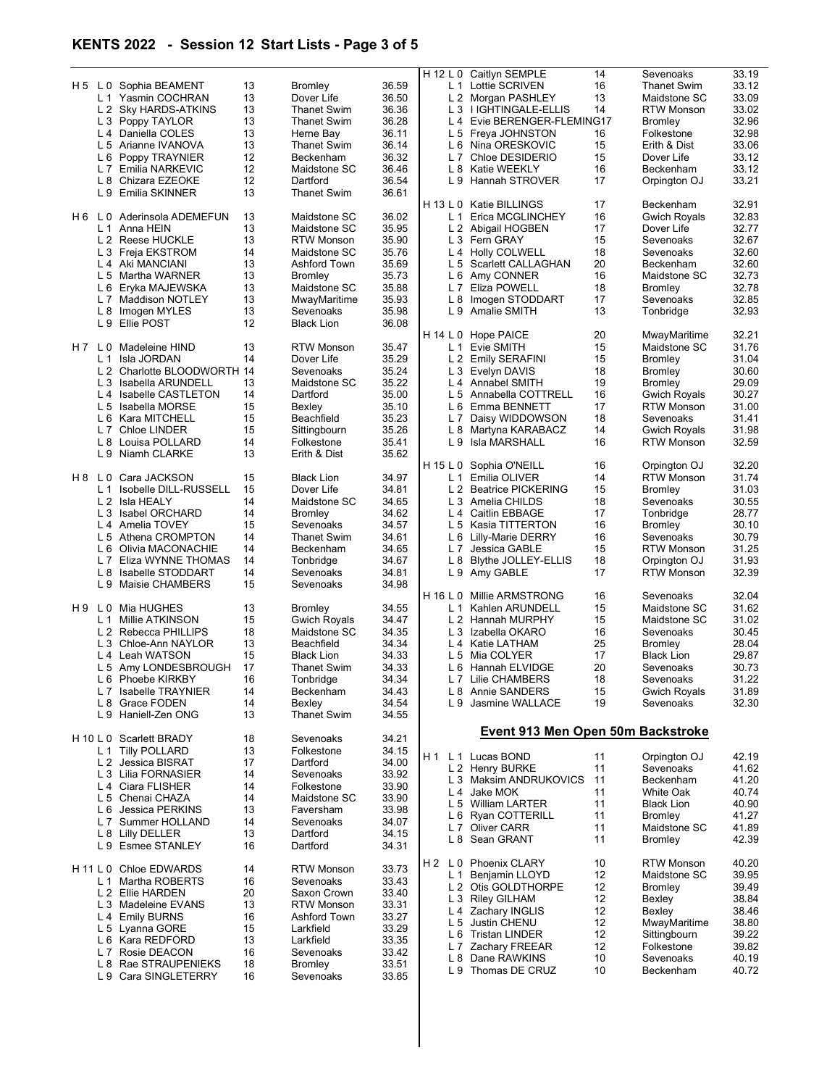## KENTS 2022 - Session 12 Start Lists - Page 3 of 5

|       |                |                                              |          |                             |                |                | H 12 L 0 Caitlyn SEMPLE           | 14 | Sevenoaks                        | 33.19 |
|-------|----------------|----------------------------------------------|----------|-----------------------------|----------------|----------------|-----------------------------------|----|----------------------------------|-------|
|       |                | H 5 L 0 Sophia BEAMENT                       | 13       | <b>Bromley</b>              | 36.59          |                | L 1 Lottie SCRIVEN                | 16 | <b>Thanet Swim</b>               | 33.12 |
|       |                | L 1 Yasmin COCHRAN                           | 13       | Dover Life                  | 36.50          |                | L 2 Morgan PASHLEY                | 13 | Maidstone SC                     | 33.09 |
|       |                | L 2 Sky HARDS-ATKINS                         | 13       | <b>Thanet Swim</b>          | 36.36          |                | L 3 I IGHTINGALE-ELLIS            | 14 | <b>RTW Monson</b>                | 33.02 |
|       |                | L 3 Poppy TAYLOR                             | 13       | <b>Thanet Swim</b>          | 36.28          |                | L 4 Evie BERENGER-FLEMING17       |    | <b>Bromley</b>                   | 32.96 |
|       |                | L 4 Daniella COLES                           | 13       | Herne Bay                   | 36.11          |                | L 5 Freya JOHNSTON                | 16 | Folkestone                       | 32.98 |
|       |                | L 5 Arianne IVANOVA                          | 13       | <b>Thanet Swim</b>          | 36.14          | L <sub>6</sub> | Nina ORESKOVIC                    | 15 | Erith & Dist                     | 33.06 |
|       |                | L 6 Poppy TRAYNIER                           | 12       | Beckenham                   | 36.32          | L <sub>7</sub> | Chloe DESIDERIO                   | 15 | Dover Life                       | 33.12 |
|       |                | L 7 Emilia NARKEVIC                          | 12       | Maidstone SC                | 36.46          |                | L 8 Katie WEEKLY                  | 16 | Beckenham                        | 33.12 |
|       |                | L 8 Chizara EZEOKE                           | 12       | Dartford                    | 36.54          | L 9            | Hannah STROVER                    | 17 | Orpington OJ                     | 33.21 |
|       |                | L 9 Emilia SKINNER                           | 13       | <b>Thanet Swim</b>          | 36.61          |                |                                   |    |                                  |       |
|       |                |                                              |          |                             |                |                | H 13 L 0 Katie BILLINGS           | 17 | Beckenham                        | 32.91 |
|       |                | H6 L0 Aderinsola ADEMEFUN                    | 13       | Maidstone SC                | 36.02          | L 1            | Erica MCGLINCHEY                  | 16 | <b>Gwich Royals</b>              | 32.83 |
|       |                | L 1 Anna HEIN                                | 13       | Maidstone SC                | 35.95          |                | L 2 Abigail HOGBEN                | 17 | Dover Life                       | 32.77 |
|       |                | L 2 Reese HUCKLE                             | 13       | <b>RTW Monson</b>           | 35.90          |                | L 3 Fern GRAY                     | 15 | Sevenoaks                        | 32.67 |
|       |                | L 3 Freja EKSTROM                            | 14       | Maidstone SC                | 35.76          |                | L 4 Holly COLWELL                 | 18 | Sevenoaks                        | 32.60 |
|       |                | L 4 Aki MANCIANI                             | 13       | Ashford Town                | 35.69          |                | L 5 Scarlett CALLAGHAN            | 20 | Beckenham                        | 32.60 |
|       |                | L 5 Martha WARNER                            | 13       | <b>Bromley</b>              | 35.73          |                | L 6 Amy CONNER                    | 16 | Maidstone SC                     | 32.73 |
|       |                | L 6 Eryka MAJEWSKA                           | 13       | Maidstone SC                | 35.88          | L <sub>7</sub> | Eliza POWELL                      | 18 | <b>Bromley</b>                   | 32.78 |
|       |                | L 7 Maddison NOTLEY                          | 13       | MwayMaritime                | 35.93          |                | L 8 Imogen STODDART               | 17 | Sevenoaks                        | 32.85 |
|       |                |                                              | 13       | Sevenoaks                   | 35.98          |                | L 9 Amalie SMITH                  | 13 |                                  | 32.93 |
|       |                | L 8 Imogen MYLES                             | 12       |                             |                |                |                                   |    | Tonbridge                        |       |
|       |                | L 9 Ellie POST                               |          | <b>Black Lion</b>           | 36.08          |                |                                   |    |                                  | 32.21 |
|       |                |                                              |          |                             |                | H 14 L 0       | <b>Hope PAICE</b>                 | 20 | MwayMaritime                     |       |
| H 7   | L <sub>0</sub> | Madeleine HIND                               | 13       | <b>RTW Monson</b>           | 35.47          | L 1            | Evie SMITH                        | 15 | Maidstone SC                     | 31.76 |
|       |                | L 1 Isla JORDAN                              | 14       | Dover Life                  | 35.29          |                | L 2 Emily SERAFINI                | 15 | Bromley                          | 31.04 |
|       |                | L 2 Charlotte BLOODWORTH 14                  |          | Sevenoaks                   | 35.24          |                | L 3 Evelyn DAVIS                  | 18 | Bromley                          | 30.60 |
|       |                | L 3 Isabella ARUNDELL                        | 13       | Maidstone SC                | 35.22          |                | L 4 Annabel SMITH                 | 19 | <b>Bromley</b>                   | 29.09 |
|       |                | L 4 Isabelle CASTLETON                       | 14       | Dartford                    | 35.00          | L <sub>5</sub> | Annabella COTTRELL                | 16 | <b>Gwich Royals</b>              | 30.27 |
|       |                | L 5 Isabella MORSE                           | 15       | Bexley                      | 35.10          |                | L 6 Emma BENNETT                  | 17 | <b>RTW Monson</b>                | 31.00 |
|       |                | L 6 Kara MITCHELL                            | 15       | Beachfield                  | 35.23          |                | L 7 Daisy WIDDOWSON               | 18 | Sevenoaks                        | 31.41 |
|       |                | L 7 Chloe LINDER                             | 15       | Sittingbourn                | 35.26          | L <sub>8</sub> | Martyna KARABACZ                  | 14 | Gwich Royals                     | 31.98 |
|       |                | L 8 Louisa POLLARD                           | 14       | Folkestone                  | 35.41          |                | L 9 Isla MARSHALL                 | 16 | <b>RTW Monson</b>                | 32.59 |
|       |                | L 9 Niamh CLARKE                             | 13       | Erith & Dist                | 35.62          |                |                                   |    |                                  |       |
|       |                |                                              |          |                             |                |                | H 15 L 0 Sophia O'NEILL           | 16 | Orpington OJ                     | 32.20 |
| H 8   | L 0            | Cara JACKSON                                 | 15       | <b>Black Lion</b>           | 34.97          | L <sub>1</sub> | Emilia OLIVER                     | 14 | <b>RTW Monson</b>                | 31.74 |
|       |                | L 1 Isobelle DILL-RUSSELL                    | 15       | Dover Life                  | 34.81          |                | L 2 Beatrice PICKERING            | 15 | Bromley                          | 31.03 |
|       |                | L 2 Isla HEALY                               | 14       | Maidstone SC                | 34.65          |                | L 3 Amelia CHILDS                 | 18 | Sevenoaks                        | 30.55 |
|       |                | L 3 Isabel ORCHARD                           | 14       | <b>Bromley</b>              | 34.62          |                | L 4 Caitlin EBBAGE                | 17 | Tonbridge                        | 28.77 |
|       |                | L 4 Amelia TOVEY                             | 15       | Sevenoaks                   | 34.57          |                | L 5 Kasia TITTERTON               | 16 | Bromley                          | 30.10 |
|       |                | L 5 Athena CROMPTON                          | 14       | Thanet Swim                 | 34.61          |                | L 6 Lilly-Marie DERRY             | 16 | Sevenoaks                        | 30.79 |
|       |                | L 6 Olivia MACONACHIE                        | 14       | Beckenham                   | 34.65          |                | L 7 Jessica GABLE                 | 15 | <b>RTW Monson</b>                | 31.25 |
|       |                | L 7 Eliza WYNNE THOMAS                       | 14       | Tonbridge                   | 34.67          | L 8            | Blythe JOLLEY-ELLIS               | 18 | Orpington OJ                     | 31.93 |
|       |                | L 8 Isabelle STODDART                        | 14       | Sevenoaks                   | 34.81          |                | L 9 Amy GABLE                     | 17 | <b>RTW Monson</b>                | 32.39 |
|       |                | L 9 Maisie CHAMBERS                          | 15       | Sevenoaks                   | 34.98          |                |                                   |    |                                  |       |
|       |                |                                              |          |                             |                | H 16 L 0       | Millie ARMSTRONG                  | 16 | Sevenoaks                        | 32.04 |
| H9 LO |                | Mia HUGHES                                   | 13       | Bromley                     | 34.55          | L 1            | Kahlen ARUNDELL                   | 15 | Maidstone SC                     | 31.62 |
|       |                | L 1 Millie ATKINSON                          | 15       | <b>Gwich Royals</b>         | 34.47          |                | L 2 Hannah MURPHY                 | 15 | Maidstone SC                     | 31.02 |
|       |                | L 2 Rebecca PHILLIPS                         |          | Maidstone SC                | 34.35          |                |                                   |    |                                  |       |
|       |                |                                              | 18       |                             |                |                | L 3 Izabella OKARO                | 16 | Sevenoaks                        | 30.45 |
|       |                | L 3 Chloe-Ann NAYLOR                         | 13       | Beachfield                  | 34.34          |                | L 4 Katie LATHAM                  | 25 | <b>Bromley</b>                   | 28.04 |
|       |                | L 4 Leah WATSON                              | 15       | <b>Black Lion</b>           | 34.33          |                | L 5 Mia COLYER                    | 17 | <b>Black Lion</b>                | 29.87 |
|       |                | L 5 Amy LONDESBROUGH                         | 17       | <b>Thanet Swim</b>          | 34.33          |                | L 6 Hannah ELVIDGE                | 20 | Sevenoaks                        | 30.73 |
|       |                | L 6 Phoebe KIRKBY                            | 16       | Tonbridge                   | 34.34          |                | L 7 Lilie CHAMBERS                | 18 | Sevenoaks                        | 31.22 |
|       |                | L 7 Isabelle TRAYNIER                        | 14       | Beckenham                   | 34.43          |                | L 8 Annie SANDERS                 | 15 |                                  | 31.89 |
|       |                | L 8 Grace FODEN                              | 14       | Bexley                      | 34.54          | L 9            | Jasmine WALLACE                   | 19 | <b>Gwich Royals</b><br>Sevenoaks | 32.30 |
|       |                | L 9 Haniell-Zen ONG                          | 13       | <b>Thanet Swim</b>          | 34.55          |                |                                   |    |                                  |       |
|       |                |                                              |          |                             |                |                |                                   |    |                                  |       |
|       |                | H 10 L 0 Scarlett BRADY                      | 18       | Sevenoaks                   | 34.21          |                | Event 913 Men Open 50m Backstroke |    |                                  |       |
|       |                | L 1 Tilly POLLARD                            | 13       | Folkestone                  | 34.15          |                |                                   |    |                                  |       |
|       |                | L 2 Jessica BISRAT                           | 17       | Dartford                    | 34.00          | H 1            | L 1 Lucas BOND                    | 11 | Orpington OJ                     | 42.19 |
|       |                | L 3 Lilia FORNASIER                          | 14       | Sevenoaks                   | 33.92          |                | L 2 Henry BURKE                   | 11 | Sevenoaks                        | 41.62 |
|       |                | L 4 Ciara FLISHER                            | 14       | Folkestone                  | 33.90          |                | L 3 Maksim ANDRUKOVICS            | 11 | Beckenham                        | 41.20 |
|       |                |                                              | 14       | Maidstone SC                |                |                | L 4 Jake MOK                      | 11 | White Oak                        | 40.74 |
|       |                | L 5 Chenai CHAZA<br>L 6 Jessica PERKINS      | 13       | Faversham                   | 33.90          |                | L 5 William LARTER                | 11 | <b>Black Lion</b>                | 40.90 |
|       |                |                                              | 14       |                             | 33.98          |                | L 6 Ryan COTTERILL                | 11 | <b>Bromley</b>                   | 41.27 |
|       |                | L 7 Summer HOLLAND                           |          | Sevenoaks                   | 34.07          |                | L 7 Oliver CARR                   | 11 | Maidstone SC                     | 41.89 |
|       |                | L 8 Lilly DELLER<br>L 9 Esmee STANLEY        | 13<br>16 | Dartford<br>Dartford        | 34.15          |                | L 8 Sean GRANT                    | 11 | Bromley                          | 42.39 |
|       |                |                                              |          |                             | 34.31          |                |                                   |    |                                  |       |
|       |                | H 11 L 0 Chloe EDWARDS                       | 14       | <b>RTW Monson</b>           | 33.73          | H2 L0          | <b>Phoenix CLARY</b>              | 10 | <b>RTW Monson</b>                | 40.20 |
|       | L 1            | Martha ROBERTS                               | 16       | Sevenoaks                   | 33.43          | L 1            | Benjamin LLOYD                    | 12 | Maidstone SC                     | 39.95 |
|       |                | L 2 Ellie HARDEN                             | 20       | Saxon Crown                 | 33.40          |                | L 2 Otis GOLDTHORPE               | 12 | Bromley                          | 39.49 |
|       |                | L 3 Madeleine EVANS                          | 13       | <b>RTW Monson</b>           | 33.31          |                | L 3 Riley GILHAM                  | 12 | Bexley                           | 38.84 |
|       |                |                                              | 16       | Ashford Town                |                |                | L 4 Zachary INGLIS                | 12 | Bexley                           | 38.46 |
|       |                | L 4 Emily BURNS                              | 15       | Larkfield                   | 33.27          | L 5            | Justin CHENU                      | 12 | MwayMaritime                     | 38.80 |
|       |                | L 5 Lyanna GORE                              | 13       | Larkfield                   | 33.29          |                | L 6 Tristan LINDER                | 12 | Sittingbourn                     | 39.22 |
|       |                | L 6 Kara REDFORD<br>L 7 Rosie DEACON         | 16       | Sevenoaks                   | 33.35          | L <sub>7</sub> | Zachary FREEAR                    | 12 | Folkestone                       | 39.82 |
|       |                |                                              |          |                             | 33.42          |                | L 8 Dane RAWKINS                  | 10 | Sevenoaks                        | 40.19 |
|       |                | L 8 Rae STRAUPENIEKS<br>L 9 Cara SINGLETERRY | 18<br>16 | <b>Bromley</b><br>Sevenoaks | 33.51<br>33.85 |                | L 9 Thomas DE CRUZ                | 10 | Beckenham                        | 40.72 |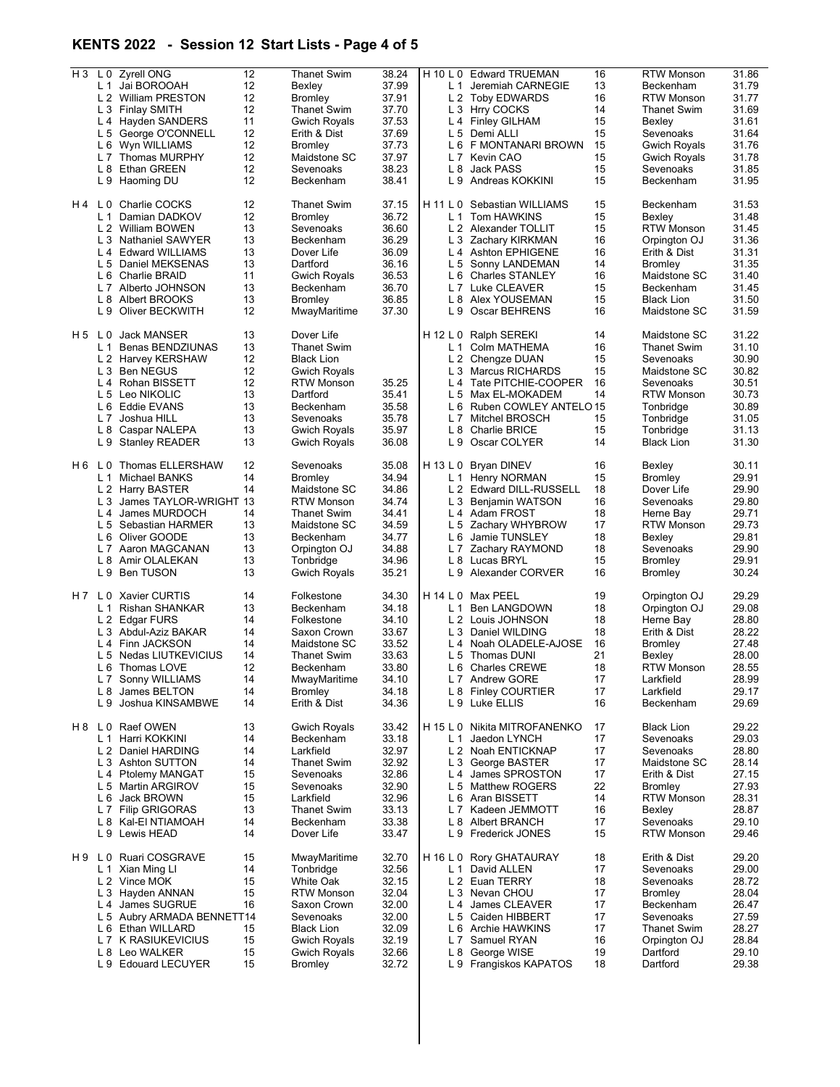## KENTS 2022 - Session 12 Start Lists - Page 4 of 5

| $H_3$ |     | L 0 Zyrell ONG             | 12 | Thanet Swim         | 38.24 |                | H 10 L 0 Edward TRUEMAN      | 16 | <b>RTW Monson</b>   | 31.86 |
|-------|-----|----------------------------|----|---------------------|-------|----------------|------------------------------|----|---------------------|-------|
|       |     | L 1 Jai BOROOAH            | 12 | Bexley              | 37.99 |                | L 1 Jeremiah CARNEGIE        | 13 | Beckenham           | 31.79 |
|       |     | L 2 William PRESTON        | 12 | <b>Bromley</b>      | 37.91 |                | L 2 Toby EDWARDS             | 16 | <b>RTW Monson</b>   | 31.77 |
|       |     |                            |    |                     |       |                |                              |    |                     |       |
|       |     | L 3 Finlay SMITH           | 12 | <b>Thanet Swim</b>  | 37.70 |                | L 3 Hrry COCKS               | 14 | Thanet Swim         | 31.69 |
|       |     | L 4 Hayden SANDERS         | 11 | Gwich Royals        | 37.53 |                | L 4 Finley GILHAM            | 15 | Bexley              | 31.61 |
|       |     |                            |    |                     |       |                |                              |    |                     |       |
|       |     | L 5 George O'CONNELL       | 12 | Erith & Dist        | 37.69 |                | L 5 Demi ALLI                | 15 | Sevenoaks           | 31.64 |
|       |     | L 6 Wyn WILLIAMS           | 12 | <b>Bromley</b>      | 37.73 |                | L 6 F MONTANARI BROWN        | 15 | <b>Gwich Royals</b> | 31.76 |
|       |     |                            |    |                     |       |                |                              |    |                     |       |
|       |     | L 7 Thomas MURPHY          | 12 | Maidstone SC        | 37.97 |                | L 7 Kevin CAO                | 15 | Gwich Royals        | 31.78 |
|       |     | L 8 Ethan GREEN            | 12 | Sevenoaks           | 38.23 |                | L 8 Jack PASS                | 15 | Sevenoaks           | 31.85 |
|       |     |                            |    |                     |       |                |                              |    |                     |       |
|       |     | L 9 Haoming DU             | 12 | Beckenham           | 38.41 |                | L 9 Andreas KOKKINI          | 15 | Beckenham           | 31.95 |
|       |     |                            |    |                     |       |                |                              |    |                     |       |
|       |     | H4 L0 Charlie COCKS        | 12 | <b>Thanet Swim</b>  | 37.15 |                | H 11 L 0 Sebastian WILLIAMS  | 15 | Beckenham           | 31.53 |
|       |     |                            |    |                     |       |                |                              |    |                     |       |
|       |     | L 1 Damian DADKOV          | 12 | <b>Bromley</b>      | 36.72 |                | L 1 Tom HAWKINS              | 15 | Bexley              | 31.48 |
|       |     | L 2 William BOWEN          | 13 | Sevenoaks           | 36.60 |                | L 2 Alexander TOLLIT         | 15 | <b>RTW Monson</b>   | 31.45 |
|       |     |                            | 13 |                     |       |                |                              |    |                     |       |
|       |     | L 3 Nathaniel SAWYER       |    | Beckenham           | 36.29 |                | L 3 Zachary KIRKMAN          | 16 | Orpington OJ        | 31.36 |
|       |     | L 4 Edward WILLIAMS        | 13 | Dover Life          | 36.09 |                | L 4 Ashton EPHIGENE          | 16 | Erith & Dist        | 31.31 |
|       |     | L 5 Daniel MEKSENAS        | 13 | Dartford            | 36.16 |                | L 5 Sonny LANDEMAN           | 14 | <b>Bromley</b>      | 31.35 |
|       |     |                            |    |                     |       |                |                              |    |                     |       |
|       |     | L 6 Charlie BRAID          | 11 | Gwich Royals        | 36.53 |                | L 6 Charles STANLEY          | 16 | Maidstone SC        | 31.40 |
|       |     | L 7 Alberto JOHNSON        | 13 | Beckenham           | 36.70 |                | L 7 Luke CLEAVER             | 15 | Beckenham           | 31.45 |
|       |     |                            |    |                     |       |                |                              |    |                     |       |
|       |     | L 8 Albert BROOKS          | 13 | <b>Bromley</b>      | 36.85 |                | L 8 Alex YOUSEMAN            | 15 | <b>Black Lion</b>   | 31.50 |
|       |     | L 9 Oliver BECKWITH        | 12 | MwayMaritime        | 37.30 | L9             | Oscar BEHRENS                | 16 | Maidstone SC        | 31.59 |
|       |     |                            |    |                     |       |                |                              |    |                     |       |
|       |     |                            |    |                     |       |                |                              |    |                     |       |
|       |     | H 5 L 0 Jack MANSER        | 13 | Dover Life          |       |                | H 12 L 0 Ralph SEREKI        | 14 | Maidstone SC        | 31.22 |
|       |     | L 1 Benas BENDZIUNAS       | 13 | <b>Thanet Swim</b>  |       |                | L 1 Colm MATHEMA             | 16 | <b>Thanet Swim</b>  | 31.10 |
|       |     |                            |    |                     |       |                |                              |    |                     |       |
|       |     | L 2 Harvey KERSHAW         | 12 | <b>Black Lion</b>   |       |                | L 2 Chengze DUAN             | 15 | Sevenoaks           | 30.90 |
|       |     | L 3 Ben NEGUS              | 12 | <b>Gwich Royals</b> |       |                | L 3 Marcus RICHARDS          | 15 | Maidstone SC        | 30.82 |
|       |     |                            |    |                     |       |                |                              |    |                     |       |
|       |     | L 4 Rohan BISSETT          | 12 | <b>RTW Monson</b>   | 35.25 |                | L 4 Tate PITCHIE-COOPER      | 16 | Sevenoaks           | 30.51 |
|       |     | L 5 Leo NIKOLIC            | 13 | Dartford            | 35.41 |                | L 5 Max EL-MOKADEM           | 14 | RTW Monson          | 30.73 |
|       |     |                            |    |                     |       |                |                              |    |                     |       |
|       |     | L 6 Eddie EVANS            | 13 | Beckenham           | 35.58 |                | L 6 Ruben COWLEY ANTELO 15   |    | Tonbridge           | 30.89 |
|       |     | L 7 Joshua HILL            | 13 | Sevenoaks           | 35.78 |                | L 7 Mitchel BROSCH           | 15 | Tonbridge           | 31.05 |
|       |     |                            |    |                     |       |                |                              |    |                     |       |
|       |     | L 8 Caspar NALEPA          | 13 | <b>Gwich Royals</b> | 35.97 |                | L 8 Charlie BRICE            | 15 | Tonbridge           | 31.13 |
|       |     | L 9 Stanley READER         | 13 | <b>Gwich Royals</b> | 36.08 | L <sub>9</sub> | Oscar COLYER                 | 14 | <b>Black Lion</b>   | 31.30 |
|       |     |                            |    |                     |       |                |                              |    |                     |       |
|       |     |                            |    |                     |       |                |                              |    |                     |       |
| H 6   |     | L 0 Thomas ELLERSHAW       | 12 | Sevenoaks           | 35.08 |                | H 13 L 0 Bryan DINEV         | 16 | Bexley              | 30.11 |
|       |     |                            |    |                     |       |                |                              |    |                     |       |
|       |     | L 1 Michael BANKS          | 14 | <b>Bromley</b>      | 34.94 |                | L 1 Henry NORMAN             | 15 | <b>Bromley</b>      | 29.91 |
|       |     | L 2 Harry BASTER           | 14 | Maidstone SC        | 34.86 |                | L 2 Edward DILL-RUSSELL      | 18 | Dover Life          | 29.90 |
|       |     | L 3 James TAYLOR-WRIGHT 13 |    | <b>RTW Monson</b>   | 34.74 |                | L 3 Benjamin WATSON          | 16 | Sevenoaks           | 29.80 |
|       |     |                            |    |                     |       |                |                              |    |                     |       |
|       |     | L 4 James MURDOCH          | 14 | <b>Thanet Swim</b>  | 34.41 |                | L 4 Adam FROST               | 18 | Herne Bay           | 29.71 |
|       |     | L 5 Sebastian HARMER       | 13 | Maidstone SC        | 34.59 |                | L 5 Zachary WHYBROW          | 17 | <b>RTW Monson</b>   | 29.73 |
|       |     |                            |    |                     |       |                |                              |    |                     |       |
|       |     | L 6 Oliver GOODE           | 13 | Beckenham           | 34.77 |                | L 6 Jamie TUNSLEY            | 18 | Bexley              | 29.81 |
|       |     | L 7 Aaron MAGCANAN         | 13 | Orpington OJ        | 34.88 |                | L 7 Zachary RAYMOND          | 18 | Sevenoaks           | 29.90 |
|       |     |                            |    |                     |       |                |                              |    |                     |       |
|       |     | L 8 Amir OLALEKAN          | 13 | Tonbridge           | 34.96 |                | L 8 Lucas BRYL               | 15 | Bromley             | 29.91 |
|       |     | L 9 Ben TUSON              | 13 | <b>Gwich Royals</b> | 35.21 |                | L 9 Alexander CORVER         | 16 | Bromley             | 30.24 |
|       |     |                            |    |                     |       |                |                              |    |                     |       |
|       |     |                            |    |                     |       |                |                              |    |                     |       |
|       |     | H 7 L 0 Xavier CURTIS      | 14 | Folkestone          | 34.30 |                | H 14 L 0 Max PEEL            | 19 | Orpington OJ        | 29.29 |
|       |     | L 1 Rishan SHANKAR         | 13 | Beckenham           | 34.18 |                | L 1 Ben LANGDOWN             | 18 | Orpington OJ        | 29.08 |
|       |     |                            |    |                     |       |                |                              |    |                     |       |
|       |     | L 2 Edgar FURS             | 14 | Folkestone          | 34.10 |                | L 2 Louis JOHNSON            | 18 | Herne Bay           | 28.80 |
|       |     | L 3 Abdul-Aziz BAKAR       | 14 | Saxon Crown         | 33.67 |                | L 3 Daniel WILDING           | 18 | Erith & Dist        | 28.22 |
|       |     |                            |    |                     |       |                |                              |    |                     |       |
|       |     | L 4 Finn JACKSON           | 14 | Maidstone SC        | 33.52 |                | L 4 Noah OLADELE-AJOSE       | 16 | <b>Bromley</b>      | 27.48 |
|       |     | L 5 Nedas LIUTKEVICIUS     | 14 | <b>Thanet Swim</b>  | 33.63 | L <sub>5</sub> | Thomas DUNI                  | 21 | Bexley              | 28.00 |
|       |     |                            |    |                     |       |                |                              |    |                     |       |
|       |     | L 6 Thomas LOVE            | 12 | Beckenham           | 33.80 |                | L 6 Charles CREWE            | 18 | <b>RTW Monson</b>   | 28.55 |
|       |     | L 7 Sonny WILLIAMS         | 14 | MwayMaritime        | 34.10 |                | L 7 Andrew GORE              | 17 | Larkfield           | 28.99 |
|       |     | L 8 James BELTON           | 14 | Bromley             | 34.18 |                | L 8 Finley COURTIER          | 17 | Larkfield           | 29.17 |
|       |     |                            |    |                     |       |                |                              |    |                     |       |
|       |     | L 9 Joshua KINSAMBWE       | 14 | Erith & Dist        | 34.36 |                | L 9 Luke ELLIS               | 16 | Beckenham           | 29.69 |
|       |     |                            |    |                     |       |                |                              |    |                     |       |
|       |     |                            |    |                     |       |                |                              |    |                     |       |
|       |     | H 8 L 0 Raef OWEN          | 13 | <b>Gwich Royals</b> | 33.42 |                | H 15 L 0 Nikita MITROFANENKO | 17 | <b>Black Lion</b>   | 29.22 |
|       |     | L 1 Harri KOKKINI          | 14 | Beckenham           | 33.18 | L 1            | Jaedon LYNCH                 | 17 | Sevenoaks           | 29.03 |
|       |     |                            |    |                     |       |                |                              |    |                     |       |
|       |     | L 2 Daniel HARDING         | 14 | Larkfield           | 32.97 |                | L 2 Noah ENTICKNAP           | 17 | Sevenoaks           | 28.80 |
|       |     | L 3 Ashton SUTTON          | 14 | <b>Thanet Swim</b>  | 32.92 |                | L 3 George BASTER            | 17 | Maidstone SC        | 28.14 |
|       |     |                            |    | Sevenoaks           |       |                |                              |    |                     |       |
|       |     | L 4 Ptolemy MANGAT         | 15 |                     | 32.86 |                | L4 James SPROSTON            | 17 | Erith & Dist        | 27.15 |
|       |     | L 5 Martin ARGIROV         | 15 | Sevenoaks           | 32.90 |                | L 5 Matthew ROGERS           | 22 | Bromley             | 27.93 |
|       |     | L 6 Jack BROWN             | 15 | Larkfield           | 32.96 |                | L 6 Aran BISSETT             | 14 | RTW Monson          | 28.31 |
|       |     |                            |    |                     |       |                |                              |    |                     |       |
|       |     | L 7 Filip GRIGORAS         | 13 | <b>Thanet Swim</b>  | 33.13 |                | L 7 Kadeen JEMMOTT           | 16 | Bexley              | 28.87 |
|       |     | L 8 Kal-EI NTIAMOAH        | 14 | Beckenham           | 33.38 | L 8            | <b>Albert BRANCH</b>         | 17 | Sevenoaks           | 29.10 |
|       |     |                            |    |                     |       |                |                              |    |                     |       |
|       |     | L 9 Lewis HEAD             | 14 | Dover Life          | 33.47 |                | L 9 Frederick JONES          | 15 | <b>RTW Monson</b>   | 29.46 |
|       |     |                            |    |                     |       |                |                              |    |                     |       |
|       |     | H 9 L 0 Ruari COSGRAVE     | 15 |                     |       |                |                              | 18 |                     |       |
|       |     |                            |    | MwayMaritime        | 32.70 |                | H 16 L 0 Rory GHATAURAY      |    | Erith & Dist        | 29.20 |
|       | L 1 | Xian Ming Ll               | 14 | Tonbridge           | 32.56 |                | L 1 David ALLEN              | 17 | Sevenoaks           | 29.00 |
|       |     | L 2 Vince MOK              | 15 | White Oak           | 32.15 |                | L 2 Euan TERRY               | 18 | Sevenoaks           | 28.72 |
|       |     |                            |    |                     |       |                |                              |    |                     |       |
|       |     | L 3 Hayden ANNAN           | 15 | <b>RTW Monson</b>   | 32.04 |                | L 3 Nevan CHOU               | 17 | Bromley             | 28.04 |
|       |     | L 4 James SUGRUE           | 16 | Saxon Crown         | 32.00 |                | L 4 James CLEAVER            | 17 | Beckenham           | 26.47 |
|       |     |                            |    |                     |       |                |                              |    |                     |       |
|       |     | L 5 Aubry ARMADA BENNETT14 |    | Sevenoaks           | 32.00 |                | L 5 Caiden HIBBERT           | 17 | Sevenoaks           | 27.59 |
|       |     | L 6 Ethan WILLARD          | 15 | <b>Black Lion</b>   | 32.09 |                | L 6 Archie HAWKINS           | 17 | <b>Thanet Swim</b>  | 28.27 |
|       |     | L 7 K RASIUKEVICIUS        |    |                     | 32.19 |                |                              |    |                     | 28.84 |
|       |     |                            | 15 | <b>Gwich Royals</b> |       |                | L 7 Samuel RYAN              | 16 | Orpington OJ        |       |
|       |     | L 8 Leo WALKER             | 15 | Gwich Royals        | 32.66 |                | L 8 George WISE              | 19 | Dartford            | 29.10 |
|       |     | L 9 Edouard LECUYER        | 15 | <b>Bromley</b>      | 32.72 |                | L 9 Frangiskos KAPATOS       | 18 | Dartford            | 29.38 |
|       |     |                            |    |                     |       |                |                              |    |                     |       |